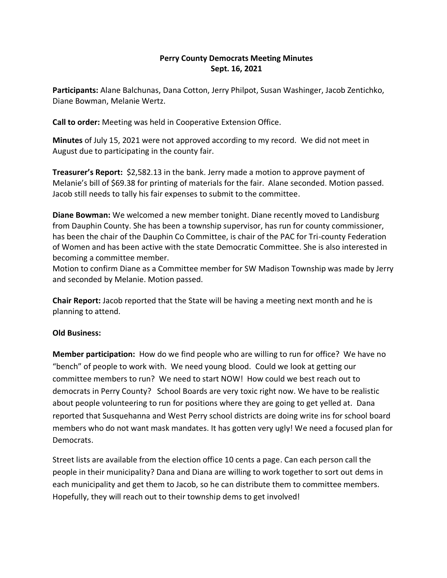## **Perry County Democrats Meeting Minutes Sept. 16, 2021**

**Participants:** Alane Balchunas, Dana Cotton, Jerry Philpot, Susan Washinger, Jacob Zentichko, Diane Bowman, Melanie Wertz.

**Call to order:** Meeting was held in Cooperative Extension Office.

**Minutes** of July 15, 2021 were not approved according to my record. We did not meet in August due to participating in the county fair.

**Treasurer's Report:** \$2,582.13 in the bank. Jerry made a motion to approve payment of Melanie's bill of \$69.38 for printing of materials for the fair. Alane seconded. Motion passed. Jacob still needs to tally his fair expenses to submit to the committee.

**Diane Bowman:** We welcomed a new member tonight. Diane recently moved to Landisburg from Dauphin County. She has been a township supervisor, has run for county commissioner, has been the chair of the Dauphin Co Committee, is chair of the PAC for Tri-county Federation of Women and has been active with the state Democratic Committee. She is also interested in becoming a committee member.

Motion to confirm Diane as a Committee member for SW Madison Township was made by Jerry and seconded by Melanie. Motion passed.

**Chair Report:** Jacob reported that the State will be having a meeting next month and he is planning to attend.

## **Old Business:**

**Member participation:** How do we find people who are willing to run for office? We have no "bench" of people to work with. We need young blood. Could we look at getting our committee members to run? We need to start NOW! How could we best reach out to democrats in Perry County? School Boards are very toxic right now. We have to be realistic about people volunteering to run for positions where they are going to get yelled at. Dana reported that Susquehanna and West Perry school districts are doing write ins for school board members who do not want mask mandates. It has gotten very ugly! We need a focused plan for Democrats.

Street lists are available from the election office 10 cents a page. Can each person call the people in their municipality? Dana and Diana are willing to work together to sort out dems in each municipality and get them to Jacob, so he can distribute them to committee members. Hopefully, they will reach out to their township dems to get involved!